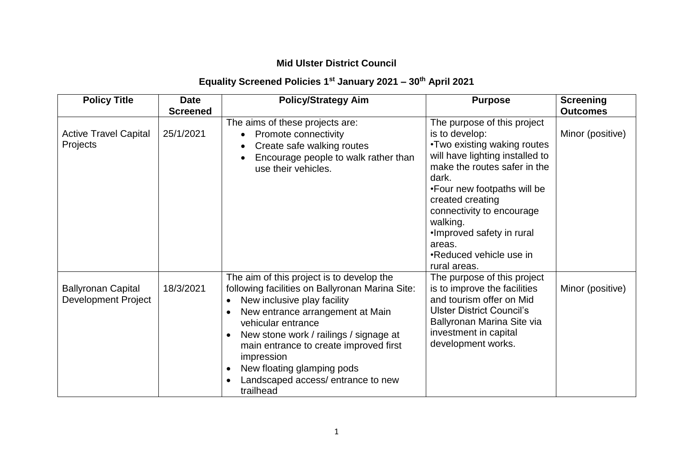### **Mid Ulster District Council**

# **Equality Screened Policies 1st January 2021 – 30th April 2021**

| <b>Policy Title</b>                                     | <b>Date</b>                  | <b>Policy/Strategy Aim</b>                                                                                                                                                                                                                                                                                                                                                           | <b>Purpose</b>                                                                                                                                                                                                                                                                                                                          | <b>Screening</b>                    |
|---------------------------------------------------------|------------------------------|--------------------------------------------------------------------------------------------------------------------------------------------------------------------------------------------------------------------------------------------------------------------------------------------------------------------------------------------------------------------------------------|-----------------------------------------------------------------------------------------------------------------------------------------------------------------------------------------------------------------------------------------------------------------------------------------------------------------------------------------|-------------------------------------|
| <b>Active Travel Capital</b><br>Projects                | <b>Screened</b><br>25/1/2021 | The aims of these projects are:<br>Promote connectivity<br>Create safe walking routes<br>Encourage people to walk rather than<br>use their vehicles.                                                                                                                                                                                                                                 | The purpose of this project<br>is to develop:<br>. Two existing waking routes<br>will have lighting installed to<br>make the routes safer in the<br>dark.<br>•Four new footpaths will be<br>created creating<br>connectivity to encourage<br>walking.<br>•Improved safety in rural<br>areas.<br>•Reduced vehicle use in<br>rural areas. | <b>Outcomes</b><br>Minor (positive) |
| <b>Ballyronan Capital</b><br><b>Development Project</b> | 18/3/2021                    | The aim of this project is to develop the<br>following facilities on Ballyronan Marina Site:<br>New inclusive play facility<br>New entrance arrangement at Main<br>vehicular entrance<br>New stone work / railings / signage at<br>$\bullet$<br>main entrance to create improved first<br>impression<br>New floating glamping pods<br>Landscaped access/entrance to new<br>trailhead | The purpose of this project<br>is to improve the facilities<br>and tourism offer on Mid<br><b>Ulster District Council's</b><br>Ballyronan Marina Site via<br>investment in capital<br>development works.                                                                                                                                | Minor (positive)                    |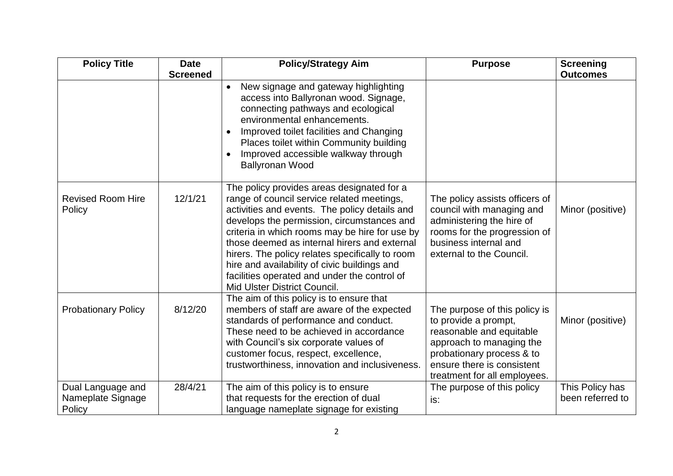| <b>Policy Title</b>                              | <b>Date</b>     | <b>Policy/Strategy Aim</b>                                                                                                                                                                                                                                                                                                                                                                                                                                                   | <b>Purpose</b>                                                                                                                                                                                           | <b>Screening</b>                    |
|--------------------------------------------------|-----------------|------------------------------------------------------------------------------------------------------------------------------------------------------------------------------------------------------------------------------------------------------------------------------------------------------------------------------------------------------------------------------------------------------------------------------------------------------------------------------|----------------------------------------------------------------------------------------------------------------------------------------------------------------------------------------------------------|-------------------------------------|
|                                                  | <b>Screened</b> |                                                                                                                                                                                                                                                                                                                                                                                                                                                                              |                                                                                                                                                                                                          | <b>Outcomes</b>                     |
|                                                  |                 | New signage and gateway highlighting<br>access into Ballyronan wood. Signage,<br>connecting pathways and ecological<br>environmental enhancements.<br>Improved toilet facilities and Changing<br>Places toilet within Community building<br>Improved accessible walkway through<br><b>Ballyronan Wood</b>                                                                                                                                                                    |                                                                                                                                                                                                          |                                     |
| <b>Revised Room Hire</b><br>Policy               | 12/1/21         | The policy provides areas designated for a<br>range of council service related meetings,<br>activities and events. The policy details and<br>develops the permission, circumstances and<br>criteria in which rooms may be hire for use by<br>those deemed as internal hirers and external<br>hirers. The policy relates specifically to room<br>hire and availability of civic buildings and<br>facilities operated and under the control of<br>Mid Ulster District Council. | The policy assists officers of<br>council with managing and<br>administering the hire of<br>rooms for the progression of<br>business internal and<br>external to the Council.                            | Minor (positive)                    |
| <b>Probationary Policy</b>                       | 8/12/20         | The aim of this policy is to ensure that<br>members of staff are aware of the expected<br>standards of performance and conduct.<br>These need to be achieved in accordance<br>with Council's six corporate values of<br>customer focus, respect, excellence,<br>trustworthiness, innovation and inclusiveness.                                                                                                                                                               | The purpose of this policy is<br>to provide a prompt,<br>reasonable and equitable<br>approach to managing the<br>probationary process & to<br>ensure there is consistent<br>treatment for all employees. | Minor (positive)                    |
| Dual Language and<br>Nameplate Signage<br>Policy | 28/4/21         | The aim of this policy is to ensure<br>that requests for the erection of dual<br>language nameplate signage for existing                                                                                                                                                                                                                                                                                                                                                     | The purpose of this policy<br>is:                                                                                                                                                                        | This Policy has<br>been referred to |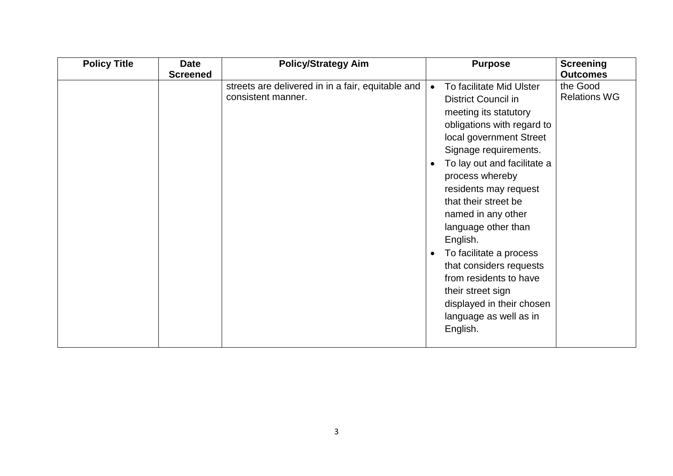| <b>Policy Title</b> | <b>Date</b><br><b>Screened</b> | <b>Policy/Strategy Aim</b>                                              |           | <b>Purpose</b>                                                                                                                                                                                                                                                                                                                                                                                                                                                                                        | <b>Screening</b><br><b>Outcomes</b> |
|---------------------|--------------------------------|-------------------------------------------------------------------------|-----------|-------------------------------------------------------------------------------------------------------------------------------------------------------------------------------------------------------------------------------------------------------------------------------------------------------------------------------------------------------------------------------------------------------------------------------------------------------------------------------------------------------|-------------------------------------|
|                     |                                | streets are delivered in in a fair, equitable and<br>consistent manner. | $\bullet$ | To facilitate Mid Ulster<br><b>District Council in</b><br>meeting its statutory<br>obligations with regard to<br>local government Street<br>Signage requirements.<br>To lay out and facilitate a<br>process whereby<br>residents may request<br>that their street be<br>named in any other<br>language other than<br>English.<br>To facilitate a process<br>that considers requests<br>from residents to have<br>their street sign<br>displayed in their chosen<br>language as well as in<br>English. | the Good<br><b>Relations WG</b>     |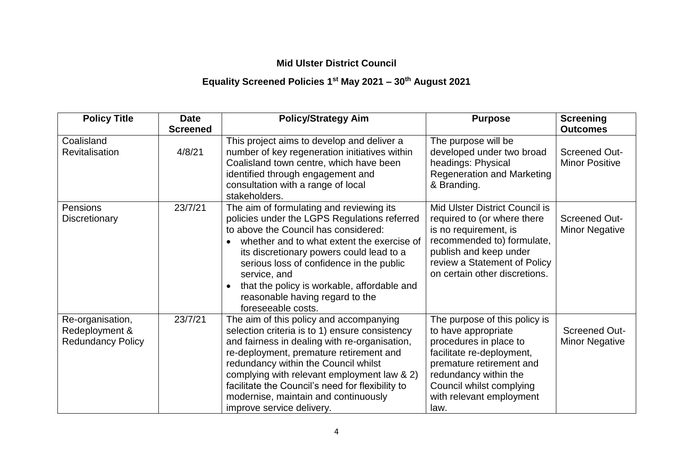### **Mid Ulster District Council**

# **Equality Screened Policies 1st May 2021 – 30th August 2021**

| <b>Policy Title</b>                                            | <b>Date</b>     | <b>Policy/Strategy Aim</b>                                                                                                                                                                                                                                                                                                                                                                            | <b>Purpose</b>                                                                                                                                                                                                                   | <b>Screening</b>                              |
|----------------------------------------------------------------|-----------------|-------------------------------------------------------------------------------------------------------------------------------------------------------------------------------------------------------------------------------------------------------------------------------------------------------------------------------------------------------------------------------------------------------|----------------------------------------------------------------------------------------------------------------------------------------------------------------------------------------------------------------------------------|-----------------------------------------------|
|                                                                | <b>Screened</b> |                                                                                                                                                                                                                                                                                                                                                                                                       |                                                                                                                                                                                                                                  | <b>Outcomes</b>                               |
| Coalisland<br><b>Revitalisation</b>                            | 4/8/21          | This project aims to develop and deliver a<br>number of key regeneration initiatives within<br>Coalisland town centre, which have been<br>identified through engagement and<br>consultation with a range of local<br>stakeholders.                                                                                                                                                                    | The purpose will be<br>developed under two broad<br>headings: Physical<br><b>Regeneration and Marketing</b><br>& Branding.                                                                                                       | <b>Screened Out-</b><br><b>Minor Positive</b> |
| <b>Pensions</b><br>Discretionary                               | 23/7/21         | The aim of formulating and reviewing its<br>policies under the LGPS Regulations referred<br>to above the Council has considered:<br>whether and to what extent the exercise of<br>its discretionary powers could lead to a<br>serious loss of confidence in the public<br>service, and<br>that the policy is workable, affordable and<br>reasonable having regard to the<br>foreseeable costs.        | Mid Ulster District Council is<br>required to (or where there<br>is no requirement, is<br>recommended to) formulate,<br>publish and keep under<br>review a Statement of Policy<br>on certain other discretions.                  | <b>Screened Out-</b><br><b>Minor Negative</b> |
| Re-organisation,<br>Redeployment &<br><b>Redundancy Policy</b> | 23/7/21         | The aim of this policy and accompanying<br>selection criteria is to 1) ensure consistency<br>and fairness in dealing with re-organisation,<br>re-deployment, premature retirement and<br>redundancy within the Council whilst<br>complying with relevant employment law & 2)<br>facilitate the Council's need for flexibility to<br>modernise, maintain and continuously<br>improve service delivery. | The purpose of this policy is<br>to have appropriate<br>procedures in place to<br>facilitate re-deployment,<br>premature retirement and<br>redundancy within the<br>Council whilst complying<br>with relevant employment<br>law. | <b>Screened Out-</b><br><b>Minor Negative</b> |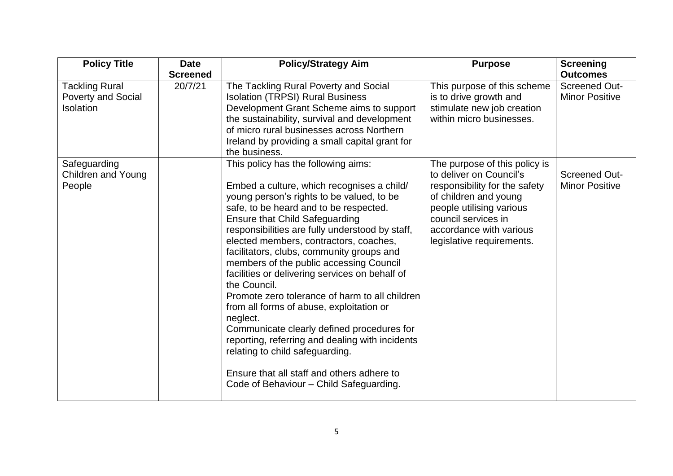| <b>Policy Title</b>                                             | <b>Date</b>     | <b>Policy/Strategy Aim</b>                                                                                                                                                                                                                                                                                                                                                                                                                                                                                                                                                                                                                                                                                             | <b>Purpose</b>                                                                                                                                                                                                                | <b>Screening</b>                              |
|-----------------------------------------------------------------|-----------------|------------------------------------------------------------------------------------------------------------------------------------------------------------------------------------------------------------------------------------------------------------------------------------------------------------------------------------------------------------------------------------------------------------------------------------------------------------------------------------------------------------------------------------------------------------------------------------------------------------------------------------------------------------------------------------------------------------------------|-------------------------------------------------------------------------------------------------------------------------------------------------------------------------------------------------------------------------------|-----------------------------------------------|
|                                                                 | <b>Screened</b> |                                                                                                                                                                                                                                                                                                                                                                                                                                                                                                                                                                                                                                                                                                                        |                                                                                                                                                                                                                               | <b>Outcomes</b>                               |
| <b>Tackling Rural</b><br><b>Poverty and Social</b><br>Isolation | 20/7/21         | The Tackling Rural Poverty and Social<br><b>Isolation (TRPSI) Rural Business</b><br>Development Grant Scheme aims to support<br>the sustainability, survival and development<br>of micro rural businesses across Northern<br>Ireland by providing a small capital grant for<br>the business.                                                                                                                                                                                                                                                                                                                                                                                                                           | This purpose of this scheme<br>is to drive growth and<br>stimulate new job creation<br>within micro businesses.                                                                                                               | <b>Screened Out-</b><br><b>Minor Positive</b> |
| Safeguarding<br><b>Children and Young</b><br>People             |                 | This policy has the following aims:<br>Embed a culture, which recognises a child/<br>young person's rights to be valued, to be<br>safe, to be heard and to be respected.<br><b>Ensure that Child Safeguarding</b><br>responsibilities are fully understood by staff,<br>elected members, contractors, coaches,<br>facilitators, clubs, community groups and<br>members of the public accessing Council<br>facilities or delivering services on behalf of<br>the Council.<br>Promote zero tolerance of harm to all children<br>from all forms of abuse, exploitation or<br>neglect.<br>Communicate clearly defined procedures for<br>reporting, referring and dealing with incidents<br>relating to child safeguarding. | The purpose of this policy is<br>to deliver on Council's<br>responsibility for the safety<br>of children and young<br>people utilising various<br>council services in<br>accordance with various<br>legislative requirements. | <b>Screened Out-</b><br><b>Minor Positive</b> |
|                                                                 |                 | Ensure that all staff and others adhere to<br>Code of Behaviour - Child Safeguarding.                                                                                                                                                                                                                                                                                                                                                                                                                                                                                                                                                                                                                                  |                                                                                                                                                                                                                               |                                               |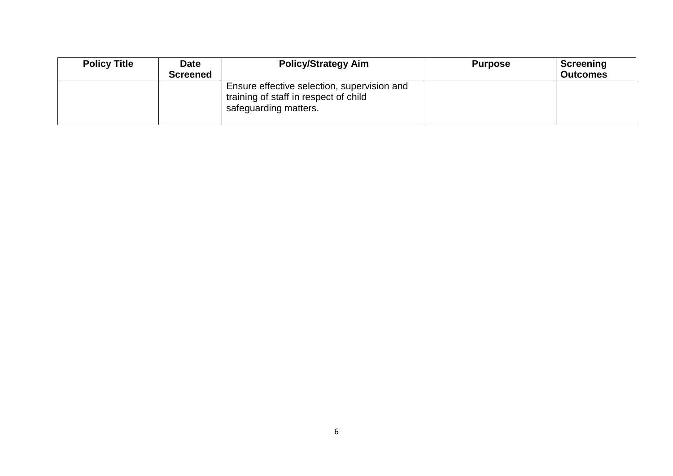| <b>Policy Title</b> | <b>Date</b>     | <b>Policy/Strategy Aim</b>                                                                                    | <b>Purpose</b> | Screening       |
|---------------------|-----------------|---------------------------------------------------------------------------------------------------------------|----------------|-----------------|
|                     | <b>Screened</b> |                                                                                                               |                | <b>Outcomes</b> |
|                     |                 | Ensure effective selection, supervision and<br>training of staff in respect of child<br>safeguarding matters. |                |                 |